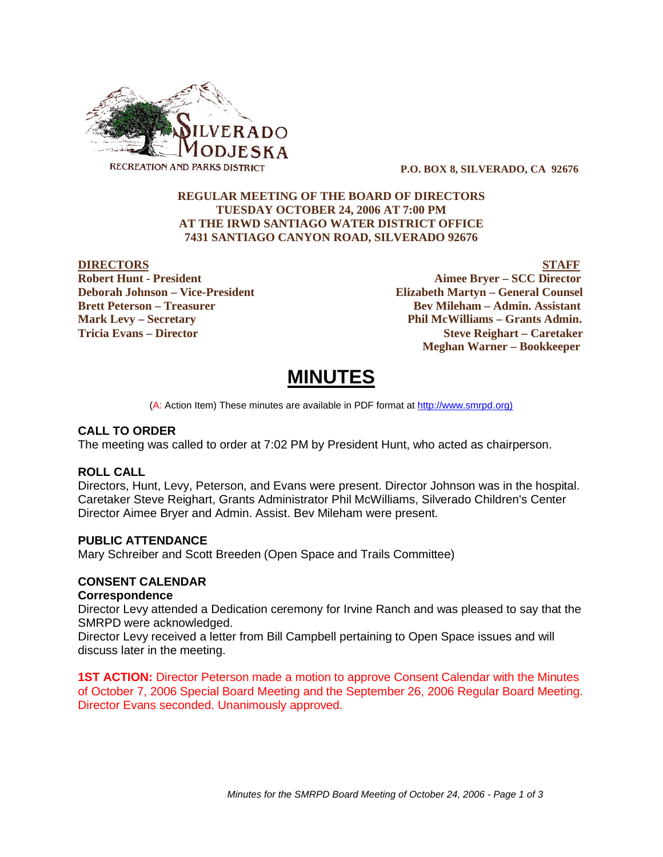

 **P.O. BOX 8, SILVERADO, CA 92676**

# **REGULAR MEETING OF THE BOARD OF DIRECTORS TUESDAY OCTOBER 24, 2006 AT 7:00 PM AT THE IRWD SANTIAGO WATER DISTRICT OFFICE 7431 SANTIAGO CANYON ROAD, SILVERADO 92676**

**DIRECTORS** STAFF **Robert Hunt - President Aimee Bryer – SCC Director Deborah Johnson – Vice-President Elizabeth Martyn – General Counsel Brett Peterson – Treasurer Serverson – Bev Mileham – Admin. Assistant Mark Levy – Secretary Phil McWilliams – Grants Admin. Tricia Evans – Director Steve Reighart – Caretaker Meghan Warner – Bookkeeper**

# **MINUTES**

(A: Action Item) These minutes are available in PDF format at http://www.smrpd.org)

# **CALL TO ORDER**

The meeting was called to order at 7:02 PM by President Hunt, who acted as chairperson.

# **ROLL CALL**

Directors, Hunt, Levy, Peterson, and Evans were present. Director Johnson was in the hospital. Caretaker Steve Reighart, Grants Administrator Phil McWilliams, Silverado Children's Center Director Aimee Bryer and Admin. Assist. Bev Mileham were present.

# **PUBLIC ATTENDANCE**

Mary Schreiber and Scott Breeden (Open Space and Trails Committee)

# **CONSENT CALENDAR**

# **Correspondence**

Director Levy attended a Dedication ceremony for Irvine Ranch and was pleased to say that the SMRPD were acknowledged.

Director Levy received a letter from Bill Campbell pertaining to Open Space issues and will discuss later in the meeting.

**1ST ACTION:** Director Peterson made a motion to approve Consent Calendar with the Minutes of October 7, 2006 Special Board Meeting and the September 26, 2006 Regular Board Meeting. Director Evans seconded. Unanimously approved.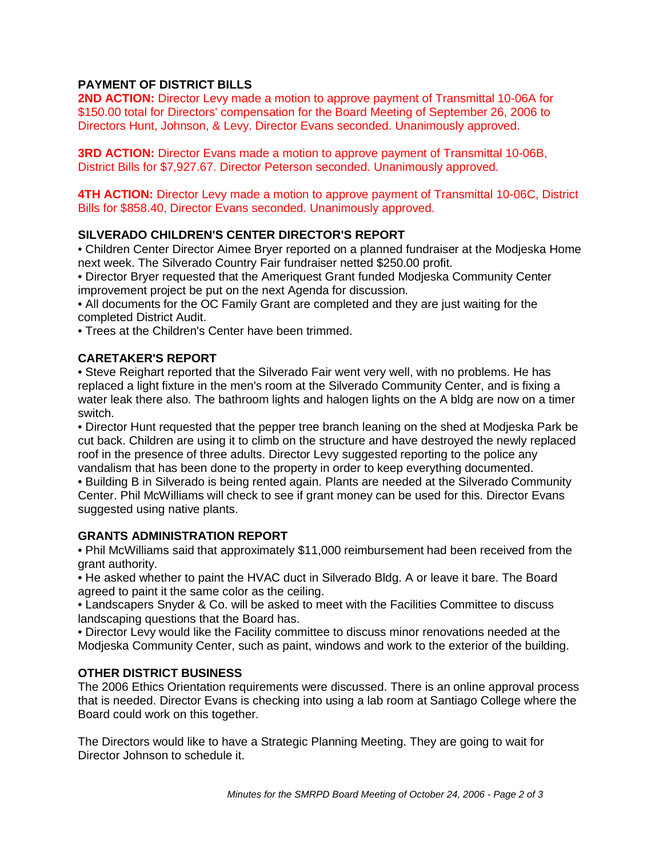# **PAYMENT OF DISTRICT BILLS**

**2ND ACTION:** Director Levy made a motion to approve payment of Transmittal 10-06A for \$150.00 total for Directors' compensation for the Board Meeting of September 26, 2006 to Directors Hunt, Johnson, & Levy. Director Evans seconded. Unanimously approved.

**3RD ACTION:** Director Evans made a motion to approve payment of Transmittal 10-06B, District Bills for \$7,927.67. Director Peterson seconded. Unanimously approved.

**4TH ACTION:** Director Levy made a motion to approve payment of Transmittal 10-06C, District Bills for \$858.40, Director Evans seconded. Unanimously approved.

# **SILVERADO CHILDREN'S CENTER DIRECTOR'S REPORT**

• Children Center Director Aimee Bryer reported on a planned fundraiser at the Modjeska Home next week. The Silverado Country Fair fundraiser netted \$250.00 profit.

- Director Bryer requested that the Ameriquest Grant funded Modjeska Community Center improvement project be put on the next Agenda for discussion.
- All documents for the OC Family Grant are completed and they are just waiting for the completed District Audit.
- Trees at the Children's Center have been trimmed.

# **CARETAKER'S REPORT**

• Steve Reighart reported that the Silverado Fair went very well, with no problems. He has replaced a light fixture in the men's room at the Silverado Community Center, and is fixing a water leak there also. The bathroom lights and halogen lights on the A bldg are now on a timer switch.

• Director Hunt requested that the pepper tree branch leaning on the shed at Modjeska Park be cut back. Children are using it to climb on the structure and have destroyed the newly replaced roof in the presence of three adults. Director Levy suggested reporting to the police any vandalism that has been done to the property in order to keep everything documented.

• Building B in Silverado is being rented again. Plants are needed at the Silverado Community Center. Phil McWilliams will check to see if grant money can be used for this. Director Evans suggested using native plants.

# **GRANTS ADMINISTRATION REPORT**

• Phil McWilliams said that approximately \$11,000 reimbursement had been received from the grant authority.

• He asked whether to paint the HVAC duct in Silverado Bldg. A or leave it bare. The Board agreed to paint it the same color as the ceiling.

• Landscapers Snyder & Co. will be asked to meet with the Facilities Committee to discuss landscaping questions that the Board has.

• Director Levy would like the Facility committee to discuss minor renovations needed at the Modjeska Community Center, such as paint, windows and work to the exterior of the building.

# **OTHER DISTRICT BUSINESS**

The 2006 Ethics Orientation requirements were discussed. There is an online approval process that is needed. Director Evans is checking into using a lab room at Santiago College where the Board could work on this together.

The Directors would like to have a Strategic Planning Meeting. They are going to wait for Director Johnson to schedule it.